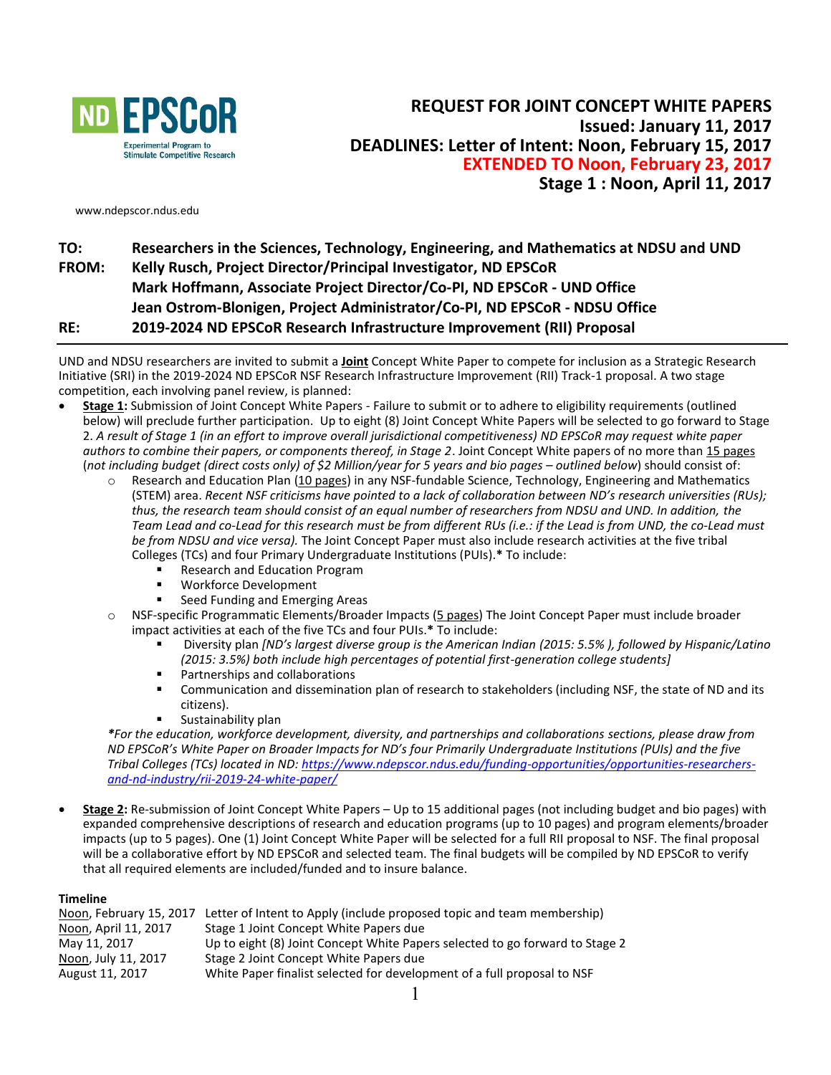

www.ndepscor.ndus.edu

# **TO: Researchers in the Sciences, Technology, Engineering, and Mathematics at NDSU and UND FROM: Kelly Rusch, Project Director/Principal Investigator, ND EPSCoR Mark Hoffmann, Associate Project Director/Co-PI, ND EPSCoR - UND Office Jean Ostrom-Blonigen, Project Administrator/Co-PI, ND EPSCoR - NDSU Office RE: 2019-2024 ND EPSCoR Research Infrastructure Improvement (RII) Proposal**

UND and NDSU researchers are invited to submit a **Joint** Concept White Paper to compete for inclusion as a Strategic Research Initiative (SRI) in the 2019-2024 ND EPSCoR NSF Research Infrastructure Improvement (RII) Track-1 proposal. A two stage competition, each involving panel review, is planned:

- **Stage 1:** Submission of Joint Concept White Papers Failure to submit or to adhere to eligibility requirements (outlined below) will preclude further participation. Up to eight (8) Joint Concept White Papers will be selected to go forward to Stage 2. *A result of Stage 1 (in an effort to improve overall jurisdictional competitiveness) ND EPSCoR may request white paper authors to combine their papers, or components thereof, in Stage 2*. Joint Concept White papers of no more than 15 pages (*not including budget (direct costs only) of \$2 Million/year for 5 years and bio pages – outlined below*) should consist of:
	- $\circ$  Research and Education Plan (10 pages) in any NSF-fundable Science, Technology, Engineering and Mathematics (STEM) area. *Recent NSF criticisms have pointed to a lack of collaboration between ND's research universities (RUs); thus, the research team should consist of an equal number of researchers from NDSU and UND. In addition, the Team Lead and co-Lead for this research must be from different RUs (i.e.: if the Lead is from UND, the co-Lead must be from NDSU and vice versa).* The Joint Concept Paper must also include research activities at the five tribal Colleges (TCs) and four Primary Undergraduate Institutions (PUIs).**\*** To include:
		- Research and Education Program
		- Workforce Development
		- Seed Funding and Emerging Areas
	- o NSF-specific Programmatic Elements/Broader Impacts (5 pages) The Joint Concept Paper must include broader impact activities at each of the five TCs and four PUIs.**\*** To include:
		- Diversity plan *[ND's largest diverse group is the American Indian (2015: 5.5% ), followed by Hispanic/Latino (2015: 3.5%) both include high percentages of potential first-generation college students]*
		- Partnerships and collaborations
		- Communication and dissemination plan of research to stakeholders (including NSF, the state of ND and its citizens).
		- Sustainability plan

*\*For the education, workforce development, diversity, and partnerships and collaborations sections, please draw from ND EPSCoR's White Paper on Broader Impacts for ND's four Primarily Undergraduate Institutions (PUIs) and the five Tribal Colleges (TCs) located in ND[: https://www.ndepscor.ndus.edu/funding-opportunities/opportunities-researchers](https://www.ndepscor.ndus.edu/funding-opportunities/opportunities-researchers-and-nd-industry/rii-2019-24-white-paper/)[and-nd-industry/rii-2019-24-white-paper/](https://www.ndepscor.ndus.edu/funding-opportunities/opportunities-researchers-and-nd-industry/rii-2019-24-white-paper/)*

 **Stage 2:** Re-submission of Joint Concept White Papers – Up to 15 additional pages (not including budget and bio pages) with expanded comprehensive descriptions of research and education programs (up to 10 pages) and program elements/broader impacts (up to 5 pages). One (1) Joint Concept White Paper will be selected for a full RII proposal to NSF. The final proposal will be a collaborative effort by ND EPSCoR and selected team. The final budgets will be compiled by ND EPSCoR to verify that all required elements are included/funded and to insure balance.

#### **Timeline**

| Noon, February 15, 2017 | Letter of Intent to Apply (include proposed topic and team membership)       |
|-------------------------|------------------------------------------------------------------------------|
| Noon, April 11, 2017    | Stage 1 Joint Concept White Papers due                                       |
| May 11, 2017            | Up to eight (8) Joint Concept White Papers selected to go forward to Stage 2 |
| Noon, July 11, 2017     | Stage 2 Joint Concept White Papers due                                       |
| August 11, 2017         | White Paper finalist selected for development of a full proposal to NSF      |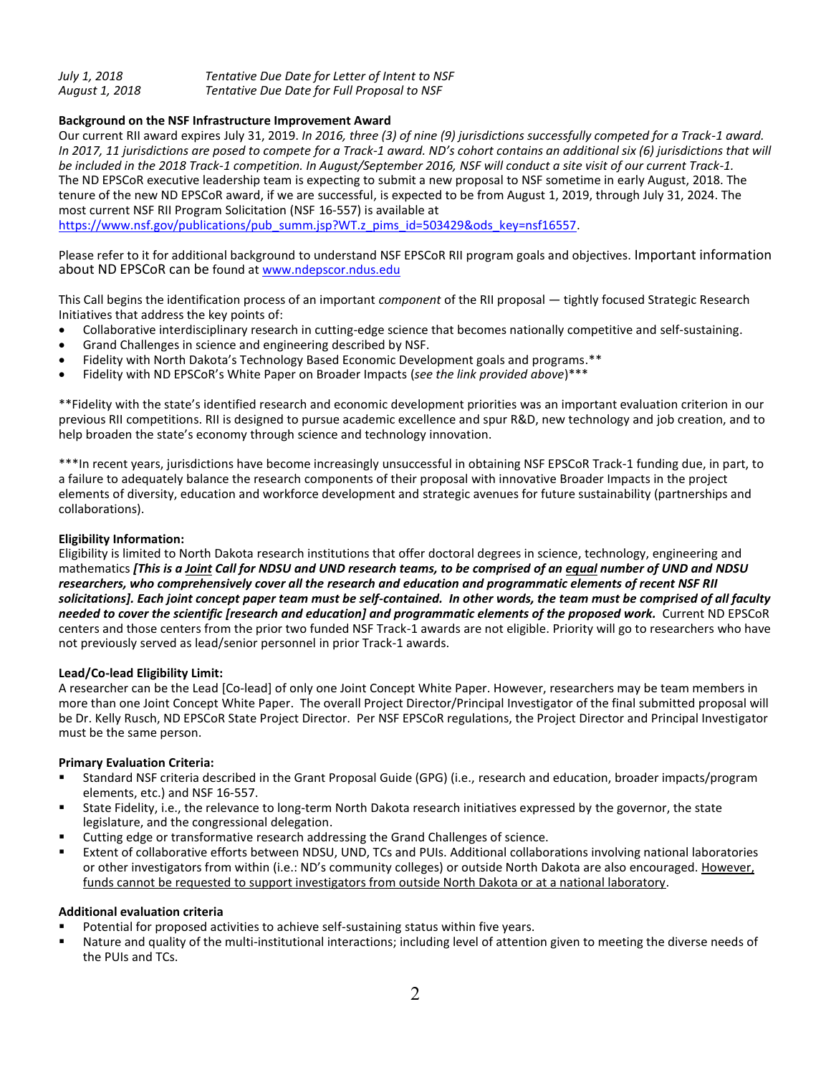| July 1, 2018   | Tentative Due Date for Letter of Intent to NSF |
|----------------|------------------------------------------------|
| August 1, 2018 | Tentative Due Date for Full Proposal to NSF    |

### **Background on the NSF Infrastructure Improvement Award**

Our current RII award expires July 31, 2019. *In 2016, three (3) of nine (9) jurisdictions successfully competed for a Track-1 award. In 2017, 11 jurisdictions are posed to compete for a Track-1 award. ND's cohort contains an additional six (6) jurisdictions that will be included in the 2018 Track-1 competition. In August/September 2016, NSF will conduct a site visit of our current Track-1.*  The ND EPSCoR executive leadership team is expecting to submit a new proposal to NSF sometime in early August, 2018. The tenure of the new ND EPSCoR award, if we are successful, is expected to be from August 1, 2019, through July 31, 2024. The most current NSF RII Program Solicitation (NSF 16-557) is available at

[https://www.nsf.gov/publications/pub\\_summ.jsp?WT.z\\_pims\\_id=503429&ods\\_key=nsf16557.](https://www.nsf.gov/publications/pub_summ.jsp?WT.z_pims_id=503429&ods_key=nsf16557)

Please refer to it for additional background to understand NSF EPSCoR RII program goals and objectives. Important information about ND EPSCoR can be found a[t www.ndepscor.ndus.edu](http://www.ndepscor.ndus.edu/)

This Call begins the identification process of an important *component* of the RII proposal — tightly focused Strategic Research Initiatives that address the key points of:

- Collaborative interdisciplinary research in cutting-edge science that becomes nationally competitive and self-sustaining.
- Grand Challenges in science and engineering described by NSF.
- Fidelity with North Dakota's Technology Based Economic Development goals and programs.\*\*
- Fidelity with ND EPSCoR's White Paper on Broader Impacts (*see the link provided above*)\*\*\*

\*\*Fidelity with the state's identified research and economic development priorities was an important evaluation criterion in our previous RII competitions. RII is designed to pursue academic excellence and spur R&D, new technology and job creation, and to help broaden the state's economy through science and technology innovation.

\*\*\*In recent years, jurisdictions have become increasingly unsuccessful in obtaining NSF EPSCoR Track-1 funding due, in part, to a failure to adequately balance the research components of their proposal with innovative Broader Impacts in the project elements of diversity, education and workforce development and strategic avenues for future sustainability (partnerships and collaborations).

#### **Eligibility Information:**

Eligibility is limited to North Dakota research institutions that offer doctoral degrees in science, technology, engineering and mathematics *[This is a Joint Call for NDSU and UND research teams, to be comprised of an equal number of UND and NDSU researchers, who comprehensively cover all the research and education and programmatic elements of recent NSF RII solicitations]. Each joint concept paper team must be self-contained. In other words, the team must be comprised of all faculty needed to cover the scientific [research and education] and programmatic elements of the proposed work.* Current ND EPSCoR centers and those centers from the prior two funded NSF Track-1 awards are not eligible. Priority will go to researchers who have not previously served as lead/senior personnel in prior Track-1 awards.

### **Lead/Co-lead Eligibility Limit:**

A researcher can be the Lead [Co-lead] of only one Joint Concept White Paper. However, researchers may be team members in more than one Joint Concept White Paper. The overall Project Director/Principal Investigator of the final submitted proposal will be Dr. Kelly Rusch, ND EPSCoR State Project Director. Per NSF EPSCoR regulations, the Project Director and Principal Investigator must be the same person.

### **Primary Evaluation Criteria:**

- Standard NSF criteria described in the Grant Proposal Guide (GPG) (i.e., research and education, broader impacts/program elements, etc.) and NSF 16-557.
- State Fidelity, i.e., the relevance to long-term North Dakota research initiatives expressed by the governor, the state legislature, and the congressional delegation.
- Cutting edge or transformative research addressing the Grand Challenges of science.
- Extent of collaborative efforts between NDSU, UND, TCs and PUIs. Additional collaborations involving national laboratories or other investigators from within (i.e.: ND's community colleges) or outside North Dakota are also encouraged. However, funds cannot be requested to support investigators from outside North Dakota or at a national laboratory.

### **Additional evaluation criteria**

- Potential for proposed activities to achieve self-sustaining status within five years.
- Nature and quality of the multi-institutional interactions; including level of attention given to meeting the diverse needs of the PUIs and TCs.